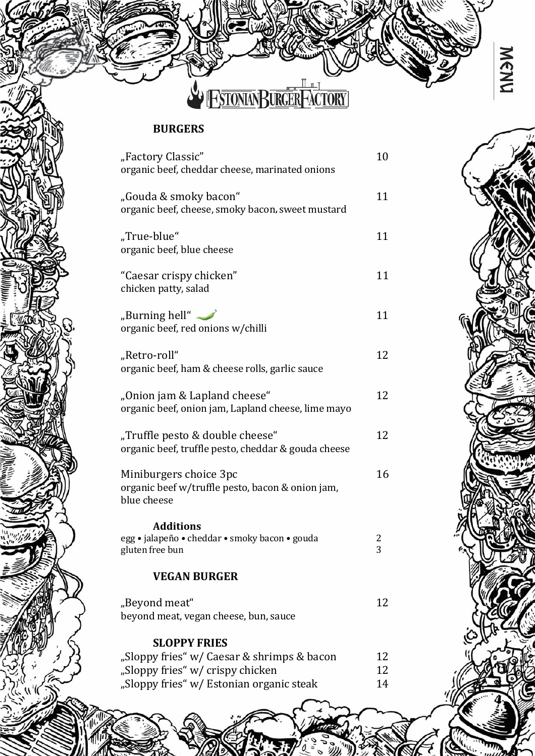

# BURGERS

| "Factory Classic"<br>organic beef, cheddar cheese, marinated onions                                                        | 10             |
|----------------------------------------------------------------------------------------------------------------------------|----------------|
| "Gouda & smoky bacon"<br>organic beef, cheese, smoky bacon, sweet mustard                                                  | 11             |
| "True-blue"<br>organic beef, blue cheese                                                                                   | 11             |
| "Caesar crispy chicken"<br>chicken patty, salad                                                                            | 11             |
| "Burning hell" $\longrightarrow$<br>organic beef, red onions w/chilli                                                      | 11             |
| "Retro-roll"<br>organic beef, ham & cheese rolls, garlic sauce                                                             | 12             |
| "Onion jam & Lapland cheese"<br>organic beef, onion jam, Lapland cheese, lime mayo                                         | 12             |
| "Truffle pesto & double cheese"<br>organic beef, truffle pesto, cheddar & gouda cheese                                     | 12             |
| Miniburgers choice 3pc<br>organic beef w/truffle pesto, bacon & onion jam,<br>blue cheese                                  | 16             |
| <b>Additions</b><br>egg · jalapeño · cheddar · smoky bacon · gouda<br>gluten free bun                                      | 2<br>3         |
| <b>VEGAN BURGER</b>                                                                                                        |                |
| "Beyond meat"<br>beyond meat, vegan cheese, bun, sauce                                                                     | 12             |
| <b>SLOPPY FRIES</b>                                                                                                        |                |
| "Sloppy fries" w/ Caesar & shrimps & bacon<br>"Sloppy fries" w/ crispy chicken<br>"Sloppy fries" w/ Estonian organic steak | 12<br>12<br>14 |



MENU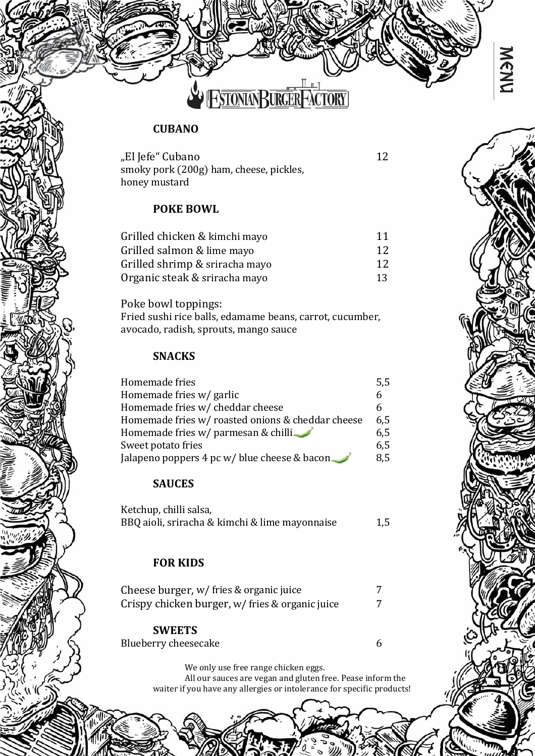

### **CUBANO**

"El Jefe" Cubano 12 smoky pork (200g) ham, cheese, pickles, honey mustard

### POKE BOWL

| Grilled chicken & kimchi mayo  | 11              |
|--------------------------------|-----------------|
| Grilled salmon & lime mayo     | 12              |
| Grilled shrimp & sriracha mayo | 12 <sup>°</sup> |
| Organic steak & sriracha mayo  | 13              |

Poke bowl toppings: Fried sushi rice balls, edamame beans, carrot, cucumber, avocado, radish, sprouts, mango sauce

### SNACKS

| Homemade fries                                    | 5,5 |
|---------------------------------------------------|-----|
| Homemade fries w/ garlic                          |     |
| Homemade fries w/ cheddar cheese                  |     |
| Homemade fries w/ roasted onions & cheddar cheese | 6.5 |
| Homemade fries w/ parmesan & chilli               | 6,5 |
| Sweet potato fries                                | 6,5 |
| Jalapeno poppers 4 pc w/ blue cheese & bacon      | 8.5 |

### **SAUCES**

| Ketchup, chilli salsa,                         |     |
|------------------------------------------------|-----|
| BBQ aioli, sriracha & kimchi & lime mayonnaise | 1,5 |

### FOR KIDS

| Cheese burger, w/ fries & organic juice         |  |
|-------------------------------------------------|--|
| Crispy chicken burger, w/ fries & organic juice |  |

**SWEETS** Blueberry cheesecake 6

We only use free range chicken eggs.

All our sauces are vegan and gluten free. Pease inform the waiter if you have any allergies or intolerance for specific products!

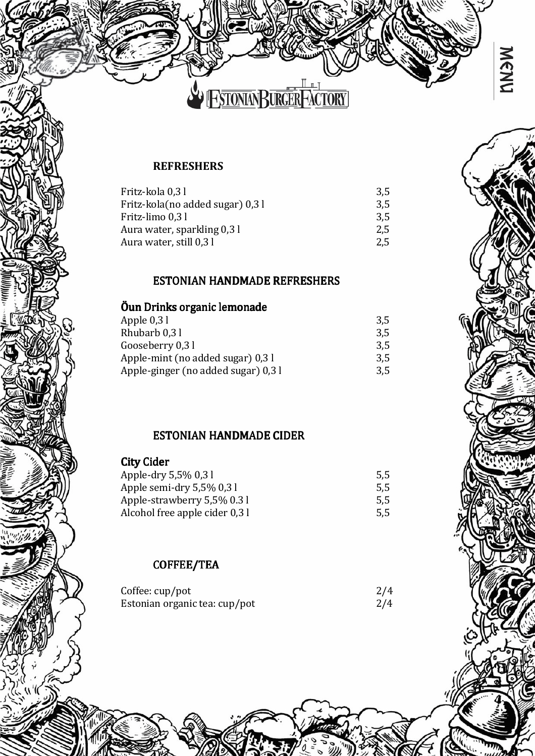

## **REFRESHERS**

| Fritz-kola 0,31                  | 3.5 |
|----------------------------------|-----|
| Fritz-kola(no added sugar) 0,3 l | 3.5 |
| Fritz-limo 0,31                  | 3.5 |
| Aura water, sparkling 0,3 l      | 2.5 |
| Aura water, still 0,3 l          | 2.5 |
|                                  |     |

### ESTONIAN HANDMADE REFRESHERS

## Öun Drinks organic lemonade

| Apple 0,3 l                         | 3,5 |
|-------------------------------------|-----|
| Rhubarb 0,31                        | 3,5 |
| Gooseberry 0,3 l                    | 3,5 |
| Apple-mint (no added sugar) 0,3 l   | 3.5 |
| Apple-ginger (no added sugar) 0,3 l | 3.5 |
|                                     |     |

## ESTONIAN HANDMADE CIDER

| <b>City Cider</b>              |     |
|--------------------------------|-----|
| Apple-dry 5,5% 0,31            | 5,5 |
| Apple semi-dry 5,5% 0,31       | 5,5 |
| Apple-strawberry 5,5% 0.31     | 5,5 |
| Alcohol free apple cider 0,3 l | 5,5 |
|                                |     |

## COFFEE/TEA

| Coffee: cup/pot               | 2/4 |
|-------------------------------|-----|
| Estonian organic tea: cup/pot | 2/4 |